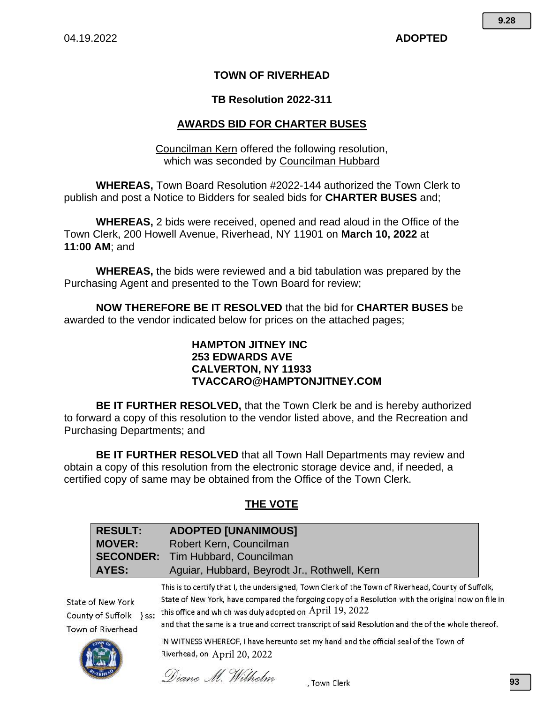# **TOWN OF RIVERHEAD**

#### **TB Resolution 2022-311**

### **AWARDS BID FOR CHARTER BUSES**

Councilman Kern offered the following resolution, which was seconded by Councilman Hubbard

**WHEREAS,** Town Board Resolution #2022-144 authorized the Town Clerk to publish and post a Notice to Bidders for sealed bids for **CHARTER BUSES** and;

**WHEREAS,** 2 bids were received, opened and read aloud in the Office of the Town Clerk, 200 Howell Avenue, Riverhead, NY 11901 on **March 10, 2022** at **11:00 AM**; and

**WHEREAS,** the bids were reviewed and a bid tabulation was prepared by the Purchasing Agent and presented to the Town Board for review;

**NOW THEREFORE BE IT RESOLVED** that the bid for **CHARTER BUSES** be awarded to the vendor indicated below for prices on the attached pages;

## **HAMPTON JITNEY INC 253 EDWARDS AVE CALVERTON, NY 11933 TVACCARO@HAMPTONJITNEY.COM**

**BE IT FURTHER RESOLVED,** that the Town Clerk be and is hereby authorized to forward a copy of this resolution to the vendor listed above, and the Recreation and Purchasing Departments; and

**BE IT FURTHER RESOLVED** that all Town Hall Departments may review and obtain a copy of this resolution from the electronic storage device and, if needed, a certified copy of same may be obtained from the Office of the Town Clerk.

# **THE VOTE**

|                                                                   | <b>RESULT:</b>   | <b>ADOPTED [UNANIMOUS]</b>                                                                                                                                                                                                                                                                                                                                                                                                                                                                            |  |  |  |
|-------------------------------------------------------------------|------------------|-------------------------------------------------------------------------------------------------------------------------------------------------------------------------------------------------------------------------------------------------------------------------------------------------------------------------------------------------------------------------------------------------------------------------------------------------------------------------------------------------------|--|--|--|
|                                                                   | <b>MOVER:</b>    | Robert Kern, Councilman                                                                                                                                                                                                                                                                                                                                                                                                                                                                               |  |  |  |
|                                                                   | <b>SECONDER:</b> | Tim Hubbard, Councilman                                                                                                                                                                                                                                                                                                                                                                                                                                                                               |  |  |  |
| <b>AYES:</b>                                                      |                  | Aguiar, Hubbard, Beyrodt Jr., Rothwell, Kern                                                                                                                                                                                                                                                                                                                                                                                                                                                          |  |  |  |
| State of New York<br>County of Suffolk } ss:<br>Town of Riverhead |                  | This is to certify that I, the undersigned, Town Clerk of the Town of Riverhead, County of Suffolk,<br>State of New York, have compared the forgoing copy of a Resolution with the original now on file in<br>this office and which was duly adopted on April 19, 2022<br>and that the same is a true and correct transcript of said Resolution and the of the whole thereof.<br>IN WITNESS WHEREOF, I have hereunto set my hand and the official seal of the Town of<br>Riverhead, on April 20, 2022 |  |  |  |

Diane M. Wilhelm

. Town Clerk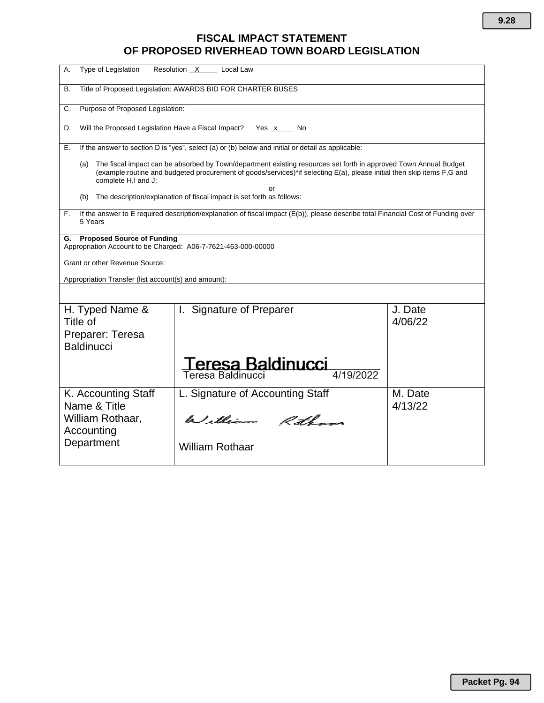# **FISCAL IMPACT STATEMENT OF PROPOSED RIVERHEAD TOWN BOARD LEGISLATION**

| Type of Legislation<br>А.                                                                                                                                                                                                                                                | Resolution X<br>Local Law                                                                                                         |                    |  |  |  |  |  |
|--------------------------------------------------------------------------------------------------------------------------------------------------------------------------------------------------------------------------------------------------------------------------|-----------------------------------------------------------------------------------------------------------------------------------|--------------------|--|--|--|--|--|
| Title of Proposed Legislation: AWARDS BID FOR CHARTER BUSES<br>В.                                                                                                                                                                                                        |                                                                                                                                   |                    |  |  |  |  |  |
| Purpose of Proposed Legislation:<br>C.                                                                                                                                                                                                                                   |                                                                                                                                   |                    |  |  |  |  |  |
| D.                                                                                                                                                                                                                                                                       | Will the Proposed Legislation Have a Fiscal Impact?<br>Yes $x$<br>No                                                              |                    |  |  |  |  |  |
| Е.                                                                                                                                                                                                                                                                       | If the answer to section D is "yes", select (a) or (b) below and initial or detail as applicable:                                 |                    |  |  |  |  |  |
| The fiscal impact can be absorbed by Town/department existing resources set forth in approved Town Annual Budget<br>(a)<br>(example:routine and budgeted procurement of goods/services)*if selecting E(a), please initial then skip items F,G and<br>complete H,I and J; |                                                                                                                                   |                    |  |  |  |  |  |
| (b)                                                                                                                                                                                                                                                                      | or<br>The description/explanation of fiscal impact is set forth as follows:                                                       |                    |  |  |  |  |  |
| F.<br>5 Years                                                                                                                                                                                                                                                            | If the answer to E required description/explanation of fiscal impact (E(b)), please describe total Financial Cost of Funding over |                    |  |  |  |  |  |
| <b>Proposed Source of Funding</b><br>G.<br>Appropriation Account to be Charged: A06-7-7621-463-000-00000                                                                                                                                                                 |                                                                                                                                   |                    |  |  |  |  |  |
| Grant or other Revenue Source:                                                                                                                                                                                                                                           |                                                                                                                                   |                    |  |  |  |  |  |
| Appropriation Transfer (list account(s) and amount):                                                                                                                                                                                                                     |                                                                                                                                   |                    |  |  |  |  |  |
|                                                                                                                                                                                                                                                                          |                                                                                                                                   |                    |  |  |  |  |  |
| H. Typed Name &<br>Title of<br>Preparer: Teresa                                                                                                                                                                                                                          | I. Signature of Preparer                                                                                                          | J. Date<br>4/06/22 |  |  |  |  |  |
| <b>Baldinucci</b>                                                                                                                                                                                                                                                        |                                                                                                                                   |                    |  |  |  |  |  |
|                                                                                                                                                                                                                                                                          | T <b>eresa Baldinucci</b><br>Teresa Baldinucci                                                                                    |                    |  |  |  |  |  |
| K. Accounting Staff<br>Name & Title                                                                                                                                                                                                                                      | L. Signature of Accounting Staff                                                                                                  | M. Date<br>4/13/22 |  |  |  |  |  |
| William Rothaar,<br>Accounting                                                                                                                                                                                                                                           | William Rothans                                                                                                                   |                    |  |  |  |  |  |
| Department                                                                                                                                                                                                                                                               | <b>William Rothaar</b>                                                                                                            |                    |  |  |  |  |  |